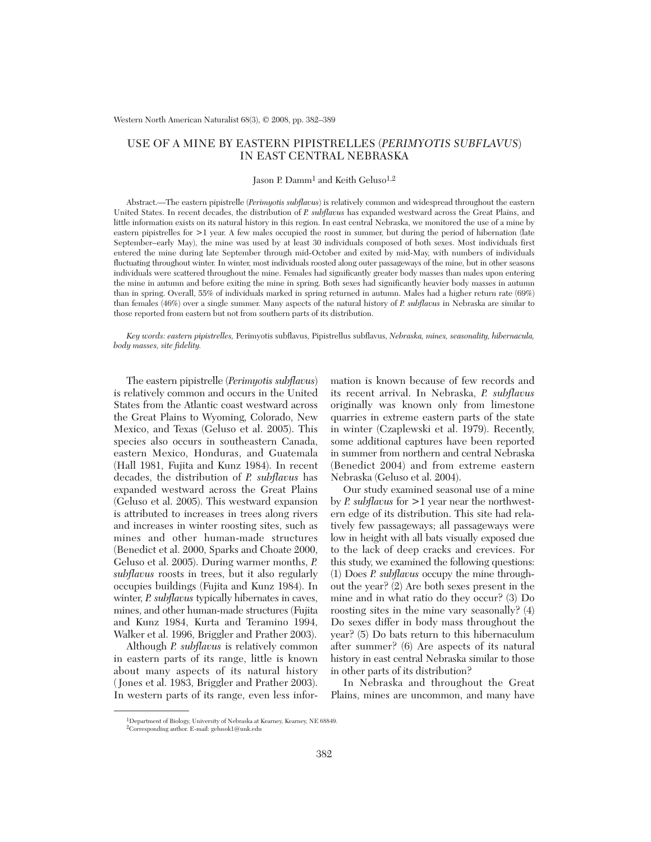# USE OF A MINE BY EASTERN PIPISTRELLES (*PERIMYOTIS SUBFLAVUS*) IN EAST CENTRAL NEBRASKA

## Jason P. Damm<sup>1</sup> and Keith Geluso<sup>1,2</sup>

Abstract.—The eastern pipistrelle (*Perimyotis subflavus*) is relatively common and widespread throughout the eastern United States. In recent decades, the distribution of *P. subflavus* has expanded westward across the Great Plains, and little information exists on its natural history in this region. In east central Nebraska, we monitored the use of a mine by eastern pipistrelles for >1 year. A few males occupied the roost in summer, but during the period of hibernation (late September–early May), the mine was used by at least 30 individuals composed of both sexes. Most individuals first entered the mine during late September through mid-October and exited by mid-May, with numbers of individuals fluctuating throughout winter. In winter, most individuals roosted along outer passageways of the mine, but in other seasons individuals were scattered throughout the mine. Females had significantly greater body masses than males upon entering the mine in autumn and before exiting the mine in spring. Both sexes had significantly heavier body masses in autumn than in spring. Overall, 55% of individuals marked in spring returned in autumn. Males had a higher return rate (69%) than females (46%) over a single summer. Many aspects of the natural history of *P. subflavus* in Nebraska are similar to those reported from eastern but not from southern parts of its distribution.

*Key words: eastern pipistrelles,* Perimyotis subflavus, Pipistrellus subflavus, *Nebraska, mines, seasonality, hibernacula, body masses, site fidelity.*

The eastern pipistrelle (*Perimyotis subflavus*) is relatively common and occurs in the United States from the Atlantic coast westward across the Great Plains to Wyoming, Colorado, New Mexico, and Texas (Geluso et al. 2005). This species also occurs in southeastern Canada, eastern Mexico, Honduras, and Guatemala (Hall 1981, Fujita and Kunz 1984). In recent decades, the distribution of *P. subflavus* has expanded westward across the Great Plains (Geluso et al. 2005). This westward expansion is attributed to increases in trees along rivers and increases in winter roosting sites, such as mines and other human-made structures (Benedict et al. 2000, Sparks and Choate 2000, Geluso et al. 2005). During warmer months, *P. subflavus* roosts in trees, but it also regularly occupies buildings (Fujita and Kunz 1984). In winter, *P. subflavus* typically hibernates in caves, mines, and other human-made structures (Fujita and Kunz 1984, Kurta and Teramino 1994, Walker et al. 1996, Briggler and Prather 2003).

Although *P. subflavus* is relatively common in eastern parts of its range, little is known about many aspects of its natural history ( Jones et al. 1983, Briggler and Prather 2003). In western parts of its range, even less infor-

mation is known because of few records and its recent arrival. In Nebraska, *P. subflavus* originally was known only from limestone quarries in extreme eastern parts of the state in winter (Czaplewski et al. 1979). Recently, some additional captures have been reported in summer from northern and central Nebraska (Benedict 2004) and from extreme eastern Nebraska (Geluso et al. 2004).

Our study examined seasonal use of a mine by *P. subflavus* for >1 year near the northwestern edge of its distribution. This site had relatively few passageways; all passageways were low in height with all bats visually exposed due to the lack of deep cracks and crevices. For this study, we examined the following questions: (1) Does *P. subflavus* occupy the mine throughout the year? (2) Are both sexes present in the mine and in what ratio do they occur? (3) Do roosting sites in the mine vary seasonally? (4) Do sexes differ in body mass throughout the year? (5) Do bats return to this hibernaculum after summer? (6) Are aspects of its natural history in east central Nebraska similar to those in other parts of its distribution?

In Nebraska and throughout the Great Plains, mines are uncommon, and many have

<sup>1</sup>Department of Biology, University of Nebraska at Kearney, Kearney, NE 68849.

<sup>2</sup>Corresponding author. E-mail: gelusok1@unk.edu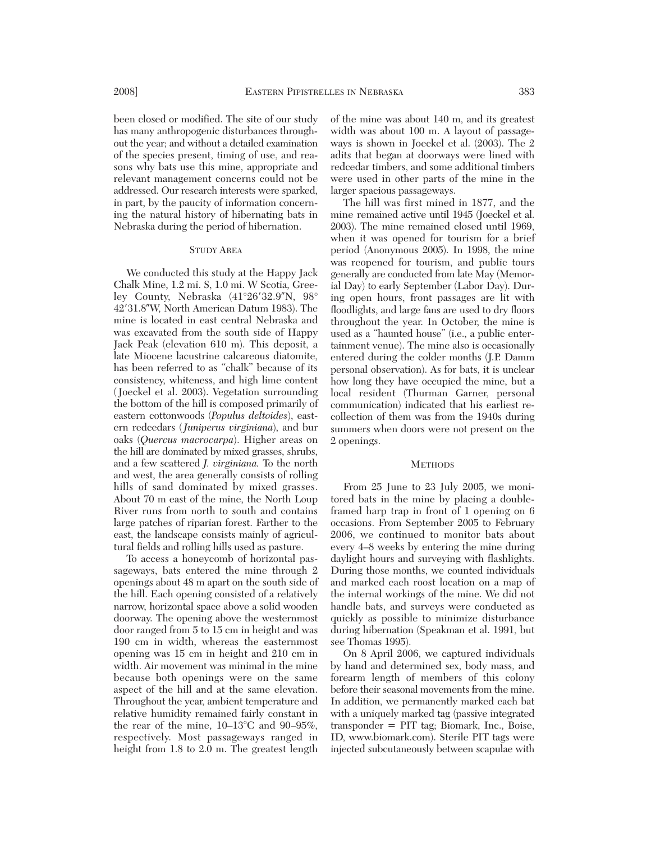been closed or modified. The site of our study has many anthropogenic disturbances throughout the year; and without a detailed examination of the species present, timing of use, and reasons why bats use this mine, appropriate and relevant management concerns could not be addressed. Our research interests were sparked, in part, by the paucity of information concerning the natural history of hibernating bats in Nebraska during the period of hibernation.

## STUDY AREA

We conducted this study at the Happy Jack Chalk Mine, 1.2 mi. S, 1.0 mi. W Scotia, Greeley County, Nebraska (41°26′32.9″N, 98° 42'31.8"W, North American Datum 1983). The mine is located in east central Nebraska and was excavated from the south side of Happy Jack Peak (elevation 610 m). This deposit, a late Miocene lacustrine calcareous diatomite, has been referred to as "chalk" because of its consistency, whiteness, and high lime content ( Joeckel et al. 2003). Vegetation surrounding the bottom of the hill is composed primarily of eastern cottonwoods (*Populus deltoides*), eastern redcedars (*Juniperus virginiana*), and bur oaks (*Quercus macrocarpa*). Higher areas on the hill are dominated by mixed grasses, shrubs, and a few scattered *J. virginiana.* To the north and west, the area generally consists of rolling hills of sand dominated by mixed grasses. About 70 m east of the mine, the North Loup River runs from north to south and contains large patches of riparian forest. Farther to the east, the landscape consists mainly of agricultural fields and rolling hills used as pasture.

To access a honeycomb of horizontal passageways, bats entered the mine through 2 openings about 48 m apart on the south side of the hill. Each opening consisted of a relatively narrow, horizontal space above a solid wooden doorway. The opening above the westernmost door ranged from 5 to 15 cm in height and was 190 cm in width, whereas the easternmost opening was 15 cm in height and 210 cm in width. Air movement was minimal in the mine because both openings were on the same aspect of the hill and at the same elevation. Throughout the year, ambient temperature and relative humidity remained fairly constant in the rear of the mine, 10–13°C and 90–95%, respectively. Most passageways ranged in height from 1.8 to 2.0 m. The greatest length

of the mine was about 140 m, and its greatest width was about 100 m. A layout of passageways is shown in Joeckel et al. (2003). The 2 adits that began at doorways were lined with redcedar timbers, and some additional timbers were used in other parts of the mine in the larger spacious passageways.

The hill was first mined in 1877, and the mine remained active until 1945 (Joeckel et al. 2003). The mine remained closed until 1969, when it was opened for tourism for a brief period (Anonymous 2005). In 1998, the mine was reopened for tourism, and public tours generally are conducted from late May (Memorial Day) to early September (Labor Day). During open hours, front passages are lit with floodlights, and large fans are used to dry floors throughout the year. In October, the mine is used as a "haunted house" (i.e., a public entertainment venue). The mine also is occasionally entered during the colder months (J.P. Damm personal observation). As for bats, it is unclear how long they have occupied the mine, but a local resident (Thurman Garner, personal communication) indicated that his earliest re collection of them was from the 1940s during summers when doors were not present on the 2 openings.

## **METHODS**

From 25 June to 23 July 2005, we monitored bats in the mine by placing a doubleframed harp trap in front of 1 opening on 6 occasions. From September 2005 to February 2006, we continued to monitor bats about every 4–8 weeks by entering the mine during daylight hours and surveying with flashlights. During those months, we counted individuals and marked each roost location on a map of the internal workings of the mine. We did not handle bats, and surveys were conducted as quickly as possible to minimize disturbance during hibernation (Speakman et al. 1991, but see Thomas 1995).

On 8 April 2006, we captured individuals by hand and determined sex, body mass, and forearm length of members of this colony before their seasonal movements from the mine. In addition, we permanently marked each bat with a uniquely marked tag (passive integrated transponder = PIT tag; Biomark, Inc., Boise, ID, www.biomark.com). Sterile PIT tags were injected subcutaneously between scapulae with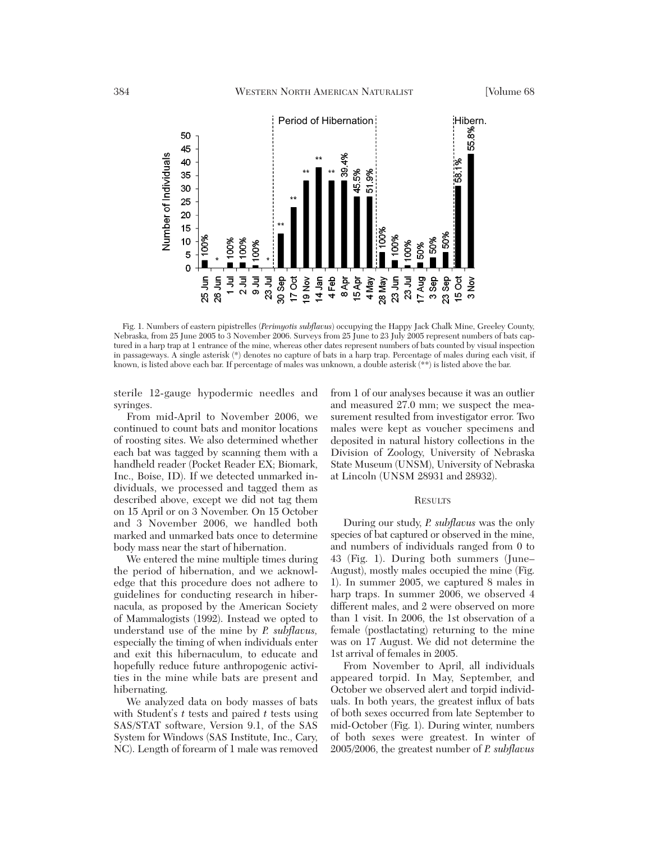

Fig. 1. Numbers of eastern pipistrelles (*Perimyotis subflavus*) occupying the Happy Jack Chalk Mine, Greeley County, Nebraska, from 25 June 2005 to 3 November 2006. Surveys from 25 June to 23 July 2005 represent numbers of bats captured in a harp trap at 1 entrance of the mine, whereas other dates represent numbers of bats counted by visual inspection in passageways. A single asterisk (\*) denotes no capture of bats in a harp trap. Percentage of males during each visit, if known, is listed above each bar. If percentage of males was unknown, a double asterisk (\*\*) is listed above the bar.

sterile 12-gauge hypodermic needles and syringes.

From mid-April to November 2006, we continued to count bats and monitor locations of roosting sites. We also determined whether each bat was tagged by scanning them with a handheld reader (Pocket Reader EX; Biomark, Inc., Boise, ID). If we detected unmarked individuals, we processed and tagged them as described above, except we did not tag them on 15 April or on 3 November. On 15 October and 3 November 2006, we handled both marked and unmarked bats once to determine body mass near the start of hibernation.

We entered the mine multiple times during the period of hibernation, and we acknowledge that this procedure does not adhere to guidelines for conducting research in hibernacula, as proposed by the American Society of Mammalogists (1992). Instead we opted to understand use of the mine by *P. subflavus,* especially the timing of when individuals enter and exit this hibernaculum, to educate and hopefully reduce future anthropogenic activities in the mine while bats are present and hibernating.

We analyzed data on body masses of bats with Student's *t* tests and paired *t* tests using SAS/STAT software, Version 9.1, of the SAS System for Windows (SAS Institute, Inc., Cary, NC). Length of forearm of 1 male was removed

from 1 of our analyses because it was an outlier and measured 27.0 mm; we suspect the measurement resulted from investigator error. Two males were kept as voucher specimens and deposited in natural history collections in the Division of Zoology, University of Nebraska State Museum (UNSM), University of Nebraska at Lincoln (UNSM 28931 and 28932).

### **RESULTS**

During our study, *P. subflavus* was the only species of bat captured or observed in the mine, and numbers of individuals ranged from 0 to 43 (Fig. 1). During both summers (June– August), mostly males occupied the mine (Fig. 1). In summer 2005, we captured 8 males in harp traps. In summer 2006, we observed 4 different males, and 2 were observed on more than 1 visit. In 2006, the 1st observation of a female (postlactating) returning to the mine was on 17 August. We did not determine the 1st arrival of females in 2005.

From November to April, all individuals appeared torpid. In May, September, and October we observed alert and torpid individuals. In both years, the greatest influx of bats of both sexes occurred from late September to mid-October (Fig. 1). During winter, numbers of both sexes were greatest. In winter of 2005/2006, the greatest number of *P. subflavus*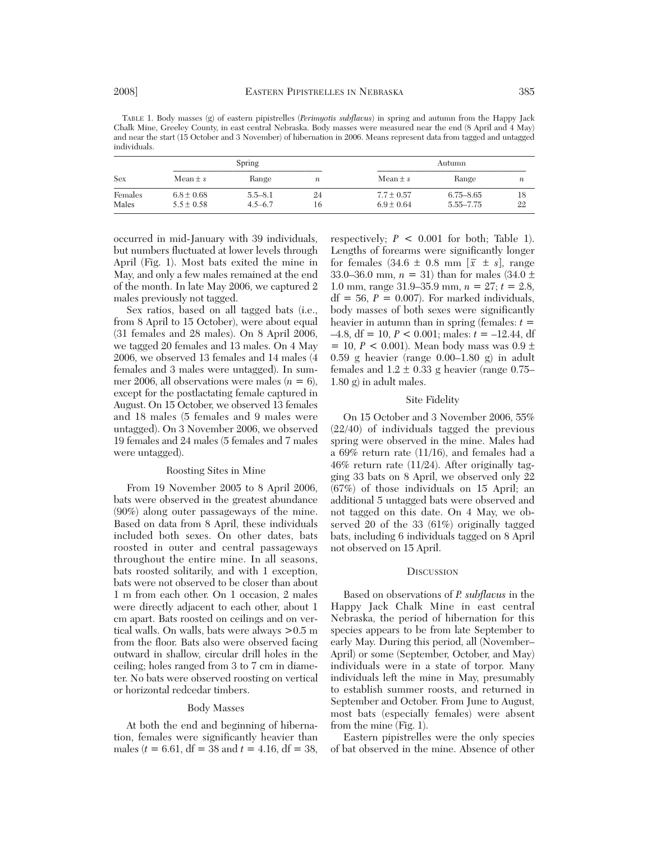TABLE 1. Body masses (g) of eastern pipistrelles (*Perimyotis subflavus*) in spring and autumn from the Happy Jack Chalk Mine, Greeley County, in east central Nebraska. Body masses were measured near the end (8 April and 4 May) and near the start (15 October and 3 November) of hibernation in 2006. Means represent data from tagged and untagged individuals.

| Sex     | Spring         |             |                  | Autumn       |               |    |
|---------|----------------|-------------|------------------|--------------|---------------|----|
|         | Mean $\pm s$   | Range       | $\boldsymbol{n}$ | Mean $\pm s$ | Range         | n  |
| Females | $6.8 \pm 0.68$ | $5.5 - 8.1$ | 24               | $7.7 + 0.57$ | $6.75 - 8.65$ | 18 |
| Males   | $5.5 \pm 0.58$ | $4.5 - 6.7$ | 16               | $6.9 + 0.64$ | 5.55–7.75     | 22 |

occurred in mid-January with 39 individuals, but numbers fluctuated at lower levels through April (Fig. 1). Most bats exited the mine in May, and only a few males remained at the end of the month. In late May 2006, we captured 2 males previously not tagged.

Sex ratios, based on all tagged bats (i.e., from 8 April to 15 October), were about equal (31 females and 28 males). On 8 April 2006, we tagged 20 females and 13 males. On 4 May 2006, we observed 13 females and 14 males (4 females and 3 males were untagged). In summer 2006, all observations were males  $(n = 6)$ , except for the postlactating female captured in August. On 15 October, we observed 13 females and 18 males (5 females and 9 males were untagged). On 3 November 2006, we observed 19 females and 24 males (5 females and 7 males were untagged).

### Roosting Sites in Mine

From 19 November 2005 to 8 April 2006, bats were observed in the greatest abundance (90%) along outer passageways of the mine. Based on data from 8 April, these individuals included both sexes. On other dates, bats roosted in outer and central passageways throughout the entire mine. In all seasons, bats roosted solitarily, and with 1 exception, bats were not observed to be closer than about 1 m from each other. On 1 occasion, 2 males were directly adjacent to each other, about 1 cm apart. Bats roosted on ceilings and on vertical walls. On walls, bats were always >0.5 m from the floor. Bats also were observed facing outward in shallow, circular drill holes in the ceiling; holes ranged from 3 to 7 cm in diameter. No bats were observed roosting on vertical or horizontal redcedar timbers.

# Body Masses

At both the end and beginning of hibernation, females were significantly heavier than males ( $t = 6.61$ , df = 38 and  $t = 4.16$ , df = 38,

respectively;  $P < 0.001$  for both; Table 1). Lengths of forearms were significantly longer for females  $(34.6 \pm 0.8 \text{ mm})$   $[\bar{x} \pm s]$ , range 33.0–36.0 mm, *<sup>n</sup>* = 31) than for males (34.0 +– 1.0 mm, range 31.9–35.9 mm, *<sup>n</sup>* = 27; *<sup>t</sup>* = 2.8,  $df = 56$ ,  $P = 0.007$ ). For marked individuals, body masses of both sexes were significantly heavier in autumn than in spring (females:  $t =$  $-4.8$ , df = 10,  $P < 0.001$ ; males:  $t = -12.44$ , df = 10,  $P < 0.001$ ). Mean body mass was  $0.9 \pm 0.59$  g heavier (range 0.00–1.80 g) in adult females and  $1.2 \pm 0.33$  g heavier (range 0.75– 1.80 g) in adult males.

# Site Fidelity

On 15 October and 3 November 2006, 55% (22/40) of individuals tagged the previous spring were observed in the mine. Males had a 69% return rate (11/16), and females had a 46% return rate (11/24). After originally tagging 33 bats on 8 April, we observed only 22 (67%) of those individuals on 15 April; an additional 5 untagged bats were observed and not tagged on this date. On 4 May, we observed 20 of the 33 (61%) originally tagged bats, including 6 individuals tagged on 8 April not observed on 15 April.

## **DISCUSSION**

Based on observations of *P. subflavus* in the Happy Jack Chalk Mine in east central Nebraska, the period of hibernation for this species appears to be from late September to early May. During this period, all (November– April) or some (September, October, and May) individuals were in a state of torpor. Many individuals left the mine in May, presumably to establish summer roosts, and returned in September and October. From June to August, most bats (especially females) were absent from the mine (Fig. 1).

Eastern pipistrelles were the only species of bat observed in the mine. Absence of other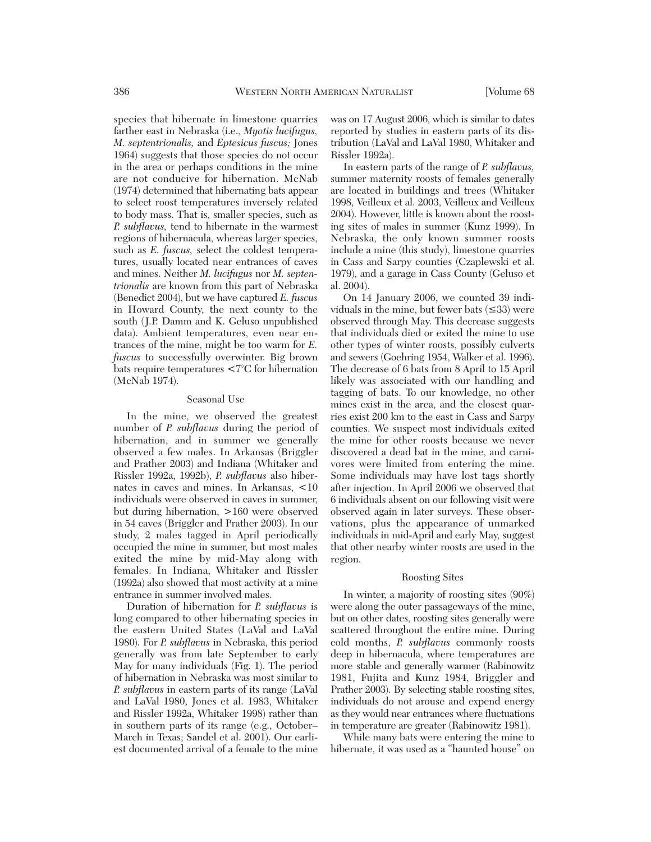species that hibernate in limestone quarries farther east in Nebraska (i.e., *Myotis lucifugus, M. septentrionalis,* and *Eptesicus fuscus;* Jones 1964) suggests that those species do not occur in the area or perhaps conditions in the mine are not conducive for hibernation. McNab (1974) determined that hibernating bats appear to select roost temperatures inversely related to body mass. That is, smaller species, such as *P. subflavus,* tend to hibernate in the warmest regions of hibernacula, whereas larger species, such as *E. fuscus,* select the coldest temperatures, usually located near entrances of caves and mines. Neither *M. lucifugus* nor *M. septentrionalis* are known from this part of Nebraska (Benedict 2004), but we have captured *E. fuscus* in Howard County, the next county to the south (J.P. Damm and K. Geluso unpublished data). Ambient temperatures, even near entrances of the mine, might be too warm for *E. fuscus* to successfully overwinter. Big brown bats require temperatures <7°C for hibernation (McNab 1974).

## Seasonal Use

In the mine, we observed the greatest number of *P. subflavus* during the period of hibernation, and in summer we generally observed a few males. In Arkansas (Briggler and Prather 2003) and Indiana (Whitaker and Rissler 1992a, 1992b), *P. subflavus* also hibernates in caves and mines. In Arkansas, <10 individuals were observed in caves in summer, but during hibernation, >160 were observed in 54 caves (Briggler and Prather 2003). In our study, 2 males tagged in April periodically occupied the mine in summer, but most males exited the mine by mid-May along with females. In Indiana, Whitaker and Rissler (1992a) also showed that most activity at a mine entrance in summer involved males.

Duration of hibernation for *P. subflavus* is long compared to other hibernating species in the eastern United States (LaVal and LaVal 1980). For *P. subflavus* in Nebraska, this period generally was from late September to early May for many individuals (Fig. 1). The period of hibernation in Nebraska was most similar to *P. subflavus* in eastern parts of its range (LaVal and LaVal 1980, Jones et al. 1983, Whitaker and Rissler 1992a, Whitaker 1998) rather than in southern parts of its range (e.g., October– March in Texas; Sandel et al. 2001). Our earliest documented arrival of a female to the mine

was on 17 August 2006, which is similar to dates reported by studies in eastern parts of its distribution (LaVal and LaVal 1980, Whitaker and Rissler 1992a).

In eastern parts of the range of *P. subflavus,* summer maternity roosts of females generally are located in buildings and trees (Whitaker 1998, Veilleux et al. 2003, Veilleux and Veilleux 2004). However, little is known about the roosting sites of males in summer (Kunz 1999). In Nebraska, the only known summer roosts include a mine (this study), limestone quarries in Cass and Sarpy counties (Czaplewski et al. 1979), and a garage in Cass County (Geluso et al. 2004).

On 14 January 2006, we counted 39 individuals in the mine, but fewer bats  $(\leq 33)$  were observed through May. This decrease suggests that individuals died or exited the mine to use other types of winter roosts, possibly culverts and sewers (Goehring 1954, Walker et al. 1996). The decrease of 6 bats from 8 April to 15 April likely was associated with our handling and tagging of bats. To our knowledge, no other mines exist in the area, and the closest quarries exist 200 km to the east in Cass and Sarpy counties. We suspect most individuals exited the mine for other roosts because we never discovered a dead bat in the mine, and carnivores were limited from entering the mine. Some individuals may have lost tags shortly after injection. In April 2006 we observed that 6 individuals absent on our following visit were observed again in later surveys. These observations, plus the appearance of unmarked individuals in mid-April and early May, suggest that other nearby winter roosts are used in the region.

## Roosting Sites

In winter, a majority of roosting sites (90%) were along the outer passageways of the mine, but on other dates, roosting sites generally were scattered throughout the entire mine. During cold months, *P. subflavus* commonly roosts deep in hibernacula, where temperatures are more stable and generally warmer (Rabinowitz 1981, Fujita and Kunz 1984, Briggler and Prather 2003). By selecting stable roosting sites, individuals do not arouse and expend energy as they would near entrances where fluctuations in temperature are greater (Rabinowitz 1981).

While many bats were entering the mine to hibernate, it was used as a "haunted house" on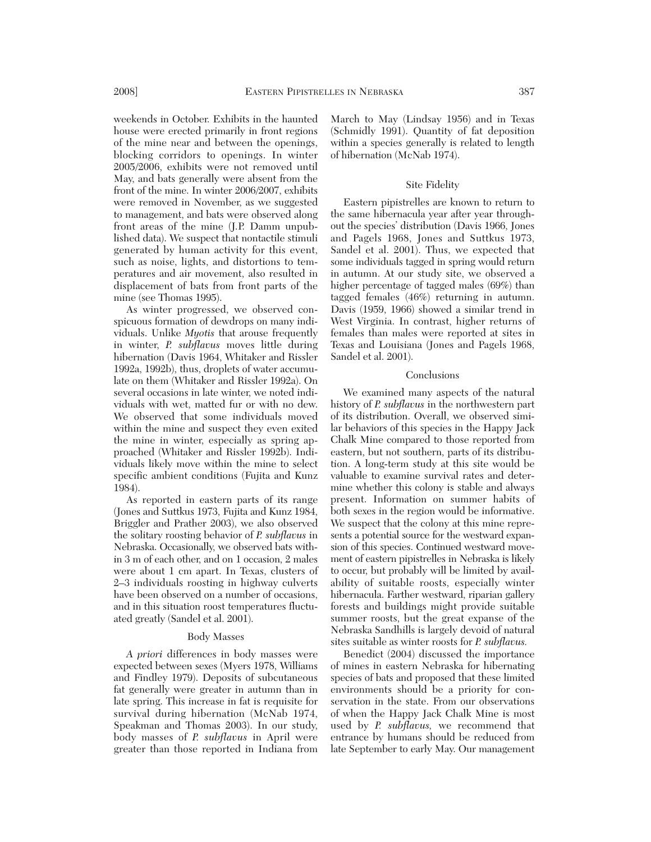weekends in October. Exhibits in the haunted house were erected primarily in front regions of the mine near and between the openings, blocking corridors to openings. In winter 2005/2006, exhibits were not removed until May, and bats generally were absent from the front of the mine. In winter 2006/2007, exhibits were removed in November, as we suggested to management, and bats were observed along front areas of the mine (J.P. Damm unpublished data). We suspect that nontactile stimuli generated by human activity for this event, such as noise, lights, and distortions to temperatures and air movement, also resulted in displacement of bats from front parts of the mine (see Thomas 1995).

As winter progressed, we observed conspicuous formation of dewdrops on many individuals. Unlike *Myotis* that arouse frequently in winter, *P. subflavus* moves little during hibernation (Davis 1964, Whitaker and Rissler 1992a, 1992b), thus, droplets of water accumulate on them (Whitaker and Rissler 1992a). On several occasions in late winter, we noted individuals with wet, matted fur or with no dew. We observed that some individuals moved within the mine and suspect they even exited the mine in winter, especially as spring approached (Whitaker and Rissler 1992b). Individuals likely move within the mine to select specific ambient conditions (Fujita and Kunz 1984).

As reported in eastern parts of its range (Jones and Suttkus 1973, Fujita and Kunz 1984, Briggler and Prather 2003), we also observed the solitary roosting behavior of *P. subflavus* in Nebraska. Occasionally, we observed bats with in 3 m of each other, and on 1 occasion, 2 males were about 1 cm apart. In Texas, clusters of 2–3 individuals roosting in highway culverts have been observed on a number of occasions, and in this situation roost temperatures fluctuated greatly (Sandel et al. 2001).

# Body Masses

*A priori* differences in body masses were expected between sexes (Myers 1978, Williams and Findley 1979). Deposits of subcutaneous fat generally were greater in autumn than in late spring. This increase in fat is requisite for survival during hibernation (McNab 1974, Speakman and Thomas 2003). In our study, body masses of *P. subflavus* in April were greater than those reported in Indiana from

March to May (Lindsay 1956) and in Texas (Schmidly 1991). Quantity of fat deposition within a species generally is related to length of hibernation (McNab 1974).

### Site Fidelity

Eastern pipistrelles are known to return to the same hibernacula year after year throughout the species' distribution (Davis 1966, Jones and Pagels 1968, Jones and Suttkus 1973, Sandel et al. 2001). Thus, we expected that some individuals tagged in spring would return in autumn. At our study site, we observed a higher percentage of tagged males (69%) than tagged females (46%) returning in autumn. Davis (1959, 1966) showed a similar trend in West Virginia. In contrast, higher returns of females than males were reported at sites in Texas and Louisiana (Jones and Pagels 1968, Sandel et al. 2001).

#### Conclusions

We examined many aspects of the natural history of *P. subflavus* in the northwestern part of its distribution. Overall, we observed similar behaviors of this species in the Happy Jack Chalk Mine compared to those reported from eastern, but not southern, parts of its distribution. A long-term study at this site would be valuable to examine survival rates and determine whether this colony is stable and always present. Information on summer habits of both sexes in the region would be informative. We suspect that the colony at this mine represents a potential source for the westward expansion of this species. Continued westward movement of eastern pipistrelles in Nebraska is likely to occur, but probably will be limited by availability of suitable roosts, especially winter hibernacula. Farther westward, riparian gallery forests and buildings might provide suitable summer roosts, but the great expanse of the Nebraska Sandhills is largely devoid of natural sites suitable as winter roosts for *P. subflavus.*

Benedict (2004) discussed the importance of mines in eastern Nebraska for hibernating species of bats and proposed that these limited environments should be a priority for conservation in the state. From our observations of when the Happy Jack Chalk Mine is most used by *P. subflavus,* we recommend that entrance by humans should be reduced from late September to early May. Our management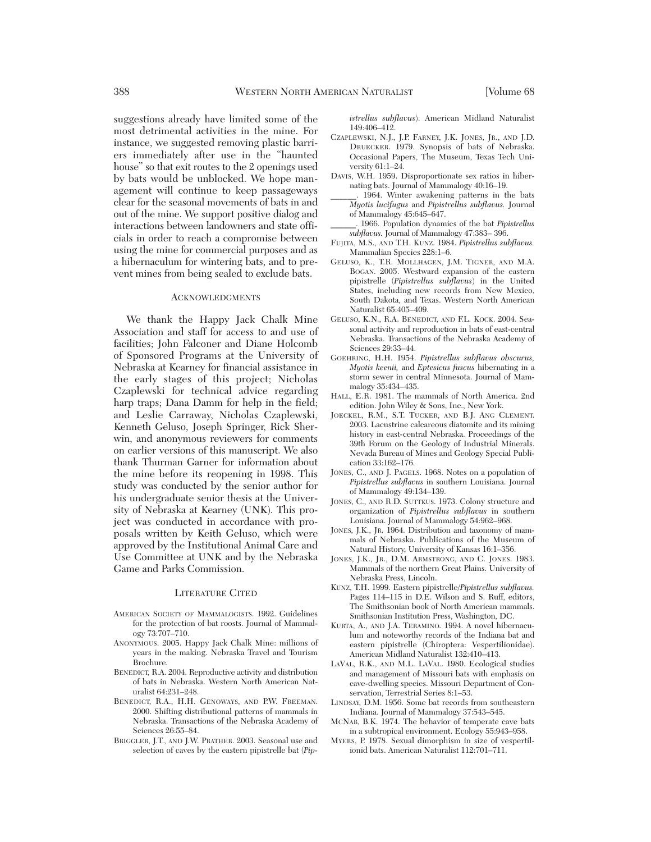suggestions already have limited some of the most detrimental activities in the mine. For instance, we suggested removing plastic barriers immediately after use in the "haunted house" so that exit routes to the 2 openings used by bats would be unblocked. We hope management will continue to keep passageways clear for the seasonal movements of bats in and out of the mine. We support positive dialog and interactions between landowners and state officials in order to reach a compromise between using the mine for commercial purposes and as a hibernaculum for wintering bats, and to prevent mines from being sealed to exclude bats.

#### ACKNOWLEDGMENTS

We thank the Happy Jack Chalk Mine Association and staff for access to and use of facilities; John Falconer and Diane Holcomb of Sponsored Programs at the University of Nebraska at Kearney for financial assistance in the early stages of this project; Nicholas Czaplewski for technical advice regarding harp traps; Dana Damm for help in the field; and Leslie Carraway, Nicholas Czaplewski, Kenneth Geluso, Joseph Springer, Rick Sherwin, and anonymous reviewers for comments on earlier versions of this manuscript. We also thank Thurman Garner for information about the mine before its reopening in 1998. This study was conducted by the senior author for his undergraduate senior thesis at the University of Nebraska at Kearney (UNK). This project was conducted in accordance with proposals written by Keith Geluso, which were approved by the Institutional Animal Care and Use Committee at UNK and by the Nebraska Game and Parks Commission.

### LITERATURE CITED

- AMERICAN SOCIETY OF MAMMALOGISTS. 1992. Guidelines for the protection of bat roosts. Journal of Mammalogy 73:707–710.
- ANONYMOUS. 2005. Happy Jack Chalk Mine: millions of years in the making. Nebraska Travel and Tourism Brochure.
- BENEDICT, R.A. 2004. Reproductive activity and distribution of bats in Nebraska. Western North American Nat uralist 64:231–248.
- BENEDICT, R.A., H.H. GENOWAYS, AND P.W. FREEMAN. 2000. Shifting distributional patterns of mammals in Nebraska. Transactions of the Nebraska Academy of Sciences 26:55–84.
- BRIGGLER, J.T., AND J.W. PRATHER. 2003. Seasonal use and selection of caves by the eastern pipistrelle bat (*Pip-*

*istrellus subflavus*). American Midland Naturalist 149:406–412.

- CZAPLEWSKI, N.J., J.P. FARNEY, J.K. JONES, JR., AND J.D. DRUECKER. 1979. Synopsis of bats of Nebraska. Occasional Papers, The Museum, Texas Tech University 61:1–24.
- DAVIS, W.H. 1959. Disproportionate sex ratios in hibernating bats. Journal of Mammalogy 40:16–19.
- 1964. Winter awakening patterns in the bats *Myotis lucifugus* and *Pipistrellus subflavus.* Journal of Mammalogy 45:645–647.
- \_\_\_\_\_\_. 1966. Population dynamics of the bat *Pipistrellus subflavus.* Journal of Mammalogy 47:383– 396.
- FUJITA, M.S., AND T.H. KUNZ. 1984. *Pipistrellus subflavus.* Mammalian Species 228:1–6.
- GELUSO, K., T.R. MOLLHAGEN, J.M. TIGNER, AND M.A. BOGAN. 2005. Westward expansion of the eastern pipistrelle (*Pipistrellus subflavus*) in the United States, including new records from New Mexico, South Dakota, and Texas. Western North American Naturalist 65:405–409.
- GELUSO, K.N., R.A. BENEDICT, AND F.L. KOCK. 2004. Seasonal activity and reproduction in bats of east-central Nebraska. Transactions of the Nebraska Academy of Sciences 29:33–44.
- GOEHRING, H.H. 1954. *Pipistrellus subflavus obscurus, Myotis keenii,* and *Eptesicus fuscus* hibernating in a storm sewer in central Minnesota. Journal of Mammalogy 35:434–435.
- HALL, E.R. 1981. The mammals of North America. 2nd edition. John Wiley & Sons, Inc., New York.
- JOECKEL, R.M., S.T. TUCKER, AND B.J. ANG CLEMENT. 2003. Lacustrine calcareous diatomite and its mining history in east-central Nebraska. Proceedings of the 39th Forum on the Geology of Industrial Minerals. Nevada Bureau of Mines and Geology Special Publication 33:162–176.
- JONES, C., AND J. PAGELS. 1968. Notes on a population of *Pipistrellus subflavus* in southern Louisiana. Journal of Mammalogy 49:134–139.
- JONES, C., AND R.D. SUTTKUS. 1973. Colony structure and organization of *Pipistrellus subflavus* in southern Louisiana. Journal of Mammalogy 54:962–968.
- JONES, J.K., JR. 1964. Distribution and taxonomy of mammals of Nebraska. Publications of the Museum of Natural History, University of Kansas 16:1–356.
- JONES, J.K., JR., D.M. ARMSTRONG, AND C. JONES. 1983. Mammals of the northern Great Plains. University of Nebraska Press, Lincoln.
- KUNZ, T.H. 1999. Eastern pipistrelle/*Pipistrellus subflavus.* Pages 114–115 in D.E. Wilson and S. Ruff, editors, The Smithsonian book of North American mammals. Smithsonian Institution Press, Washington, DC.
- KURTA, A., AND J.A. TERAMINO. 1994. A novel hibernaculum and noteworthy records of the Indiana bat and eastern pipistrelle (Chiroptera: Vespertilionidae). American Midland Naturalist 132:410–413.
- LAVAL, R.K., AND M.L. LAVAL. 1980. Ecological studies and management of Missouri bats with emphasis on cave-dwelling species. Missouri Department of Conservation, Terrestrial Series 8:1–53.
- LINDSAY, D.M. 1956. Some bat records from southeastern Indiana. Journal of Mammalogy 37:543–545.
- MCNAB, B.K. 1974. The behavior of temperate cave bats in a subtropical environment. Ecology 55:943–958.
- MYERS, P. 1978. Sexual dimorphism in size of vespertilionid bats. American Naturalist 112:701–711.